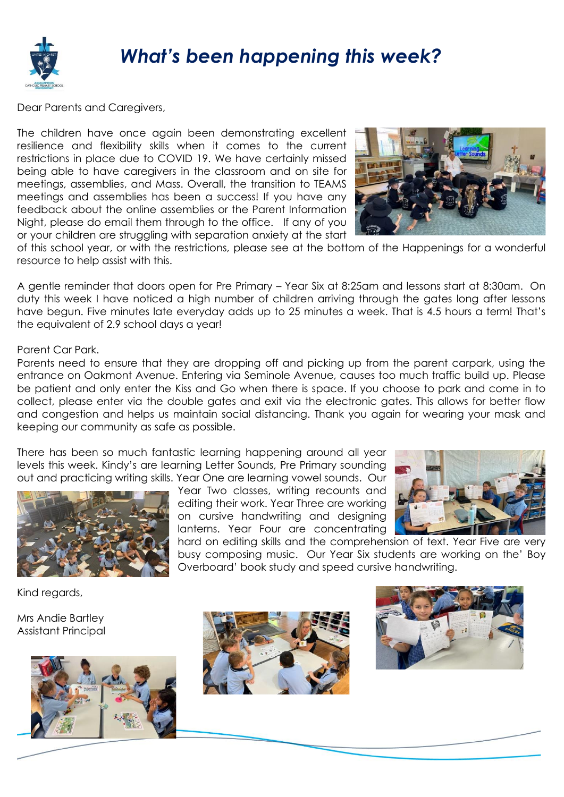

## *What's been happening this week?*

Dear Parents and Caregivers,

The children have once again been demonstrating excellent resilience and flexibility skills when it comes to the current restrictions in place due to COVID 19. We have certainly missed being able to have caregivers in the classroom and on site for meetings, assemblies, and Mass. Overall, the transition to TEAMS meetings and assemblies has been a success! If you have any feedback about the online assemblies or the Parent Information Night, please do email them through to the office. If any of you or your children are struggling with separation anxiety at the start



of this school year, or with the restrictions, please see at the bottom of the Happenings for a wonderful resource to help assist with this.

A gentle reminder that doors open for Pre Primary – Year Six at 8:25am and lessons start at 8:30am. On duty this week I have noticed a high number of children arriving through the gates long after lessons have begun. Five minutes late everyday adds up to 25 minutes a week. That is 4.5 hours a term! That's the equivalent of 2.9 school days a year!

## Parent Car Park.

Parents need to ensure that they are dropping off and picking up from the parent carpark, using the entrance on Oakmont Avenue. Entering via Seminole Avenue, causes too much traffic build up. Please be patient and only enter the Kiss and Go when there is space. If you choose to park and come in to collect, please enter via the double gates and exit via the electronic gates. This allows for better flow and congestion and helps us maintain social distancing. Thank you again for wearing your mask and keeping our community as safe as possible.

There has been so much fantastic learning happening around all year levels this week. Kindy's are learning Letter Sounds, Pre Primary sounding out and practicing writing skills. Year One are learning vowel sounds. Our



Year Two classes, writing recounts and editing their work. Year Three are working on cursive handwriting and designing lanterns. Year Four are concentrating

hard on editing skills and the comprehension of text. Year Five are very busy composing music. Our Year Six students are working on the' Boy Overboard' book study and speed cursive handwriting.

Kind regards,

Mrs Andie Bartley Assistant Principal